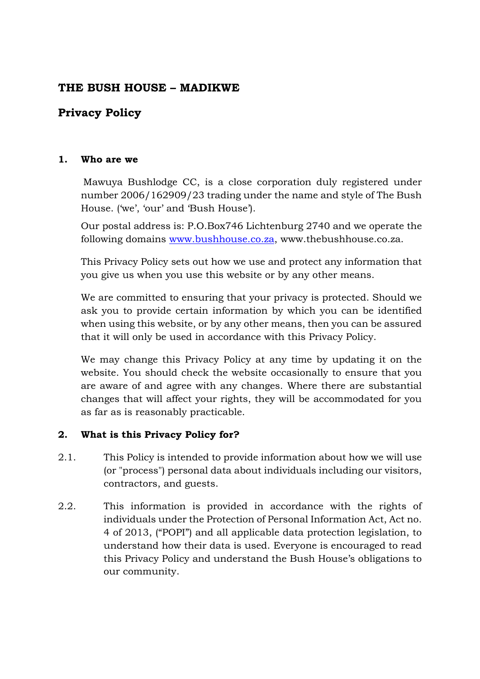# **THE BUSH HOUSE – MADIKWE**

# **Privacy Policy**

#### **1. Who are we**

Mawuya Bushlodge CC, is a close corporation duly registered under number 2006/162909/23 trading under the name and style of The Bush House. ('we', 'our' and 'Bush House').

Our postal address is: P.O.Box746 Lichtenburg 2740 and we operate the following domains [www.bushhouse.co.za,](http://www.bushhouse.co.za/) www.thebushhouse.co.za.

This Privacy Policy sets out how we use and protect any information that you give us when you use this website or by any other means.

We are committed to ensuring that your privacy is protected. Should we ask you to provide certain information by which you can be identified when using this website, or by any other means, then you can be assured that it will only be used in accordance with this Privacy Policy.

We may change this Privacy Policy at any time by updating it on the website. You should check the website occasionally to ensure that you are aware of and agree with any changes. Where there are substantial changes that will affect your rights, they will be accommodated for you as far as is reasonably practicable.

#### **2. What is this Privacy Policy for?**

- 2.1. This Policy is intended to provide information about how we will use (or "process") personal data about individuals including our visitors, contractors, and guests.
- 2.2. This information is provided in accordance with the rights of individuals under the Protection of Personal Information Act, Act no. 4 of 2013, ("POPI") and all applicable data protection legislation, to understand how their data is used. Everyone is encouraged to read this Privacy Policy and understand the Bush House's obligations to our community.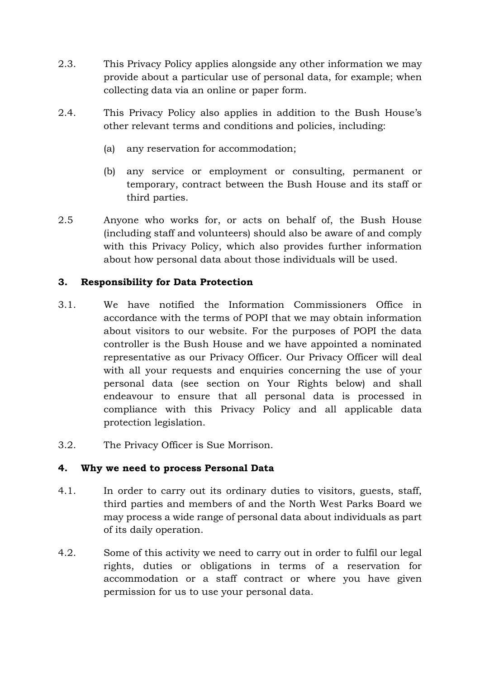- 2.3. This Privacy Policy applies alongside any other information we may provide about a particular use of personal data, for example; when collecting data via an online or paper form.
- 2.4. This Privacy Policy also applies in addition to the Bush House's other relevant terms and conditions and policies, including:
	- (a) any reservation for accommodation;
	- (b) any service or employment or consulting, permanent or temporary, contract between the Bush House and its staff or third parties.
- 2.5 Anyone who works for, or acts on behalf of, the Bush House (including staff and volunteers) should also be aware of and comply with this Privacy Policy, which also provides further information about how personal data about those individuals will be used.

#### **3. Responsibility for Data Protection**

- 3.1. We have notified the Information Commissioners Office in accordance with the terms of POPI that we may obtain information about visitors to our website. For the purposes of POPI the data controller is the Bush House and we have appointed a nominated representative as our Privacy Officer. Our Privacy Officer will deal with all your requests and enquiries concerning the use of your personal data (see section on Your Rights below) and shall endeavour to ensure that all personal data is processed in compliance with this Privacy Policy and all applicable data protection legislation.
- 3.2. The Privacy Officer is Sue Morrison.

#### **4. Why we need to process Personal Data**

- 4.1. In order to carry out its ordinary duties to visitors, guests, staff, third parties and members of and the North West Parks Board we may process a wide range of personal data about individuals as part of its daily operation.
- 4.2. Some of this activity we need to carry out in order to fulfil our legal rights, duties or obligations in terms of a reservation for accommodation or a staff contract or where you have given permission for us to use your personal data.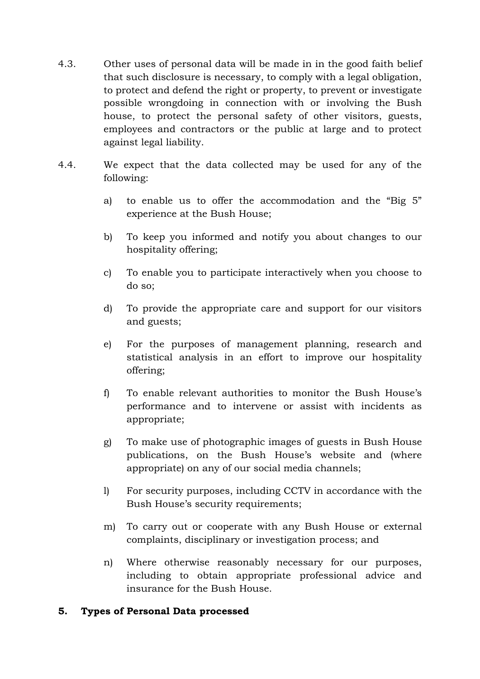- 4.3. Other uses of personal data will be made in in the good faith belief that such disclosure is necessary, to comply with a legal obligation, to protect and defend the right or property, to prevent or investigate possible wrongdoing in connection with or involving the Bush house, to protect the personal safety of other visitors, guests, employees and contractors or the public at large and to protect against legal liability.
- 4.4. We expect that the data collected may be used for any of the following:
	- a) to enable us to offer the accommodation and the "Big 5" experience at the Bush House;
	- b) To keep you informed and notify you about changes to our hospitality offering;
	- c) To enable you to participate interactively when you choose to do so;
	- d) To provide the appropriate care and support for our visitors and guests;
	- e) For the purposes of management planning, research and statistical analysis in an effort to improve our hospitality offering;
	- f) To enable relevant authorities to monitor the Bush House's performance and to intervene or assist with incidents as appropriate;
	- g) To make use of photographic images of guests in Bush House publications, on the Bush House's website and (where appropriate) on any of our social media channels;
	- l) For security purposes, including CCTV in accordance with the Bush House's security requirements;
	- m) To carry out or cooperate with any Bush House or external complaints, disciplinary or investigation process; and
	- n) Where otherwise reasonably necessary for our purposes, including to obtain appropriate professional advice and insurance for the Bush House.

#### **5. Types of Personal Data processed**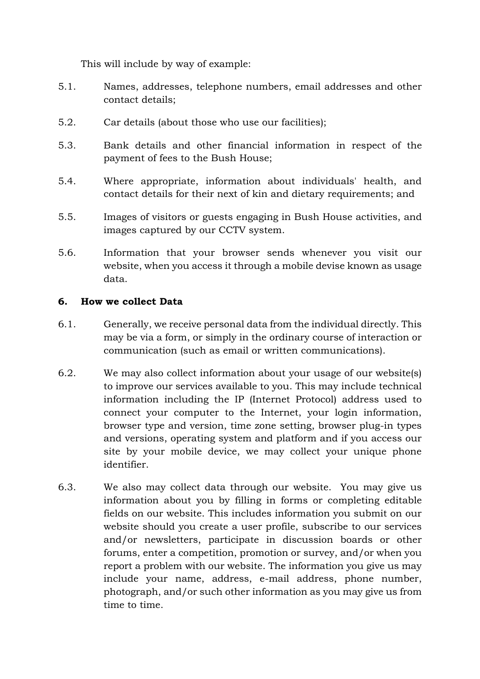This will include by way of example:

- 5.1. Names, addresses, telephone numbers, email addresses and other contact details;
- 5.2. Car details (about those who use our facilities);
- 5.3. Bank details and other financial information in respect of the payment of fees to the Bush House;
- 5.4. Where appropriate, information about individuals' health, and contact details for their next of kin and dietary requirements; and
- 5.5. Images of visitors or guests engaging in Bush House activities, and images captured by our CCTV system.
- 5.6. Information that your browser sends whenever you visit our website, when you access it through a mobile devise known as usage data.

## **6. How we collect Data**

- 6.1. Generally, we receive personal data from the individual directly. This may be via a form, or simply in the ordinary course of interaction or communication (such as email or written communications).
- 6.2. We may also collect information about your usage of our website(s) to improve our services available to you. This may include technical information including the IP (Internet Protocol) address used to connect your computer to the Internet, your login information, browser type and version, time zone setting, browser plug-in types and versions, operating system and platform and if you access our site by your mobile device, we may collect your unique phone identifier.
- 6.3. We also may collect data through our website. You may give us information about you by filling in forms or completing editable fields on our website. This includes information you submit on our website should you create a user profile, subscribe to our services and/or newsletters, participate in discussion boards or other forums, enter a competition, promotion or survey, and/or when you report a problem with our website. The information you give us may include your name, address, e-mail address, phone number, photograph, and/or such other information as you may give us from time to time.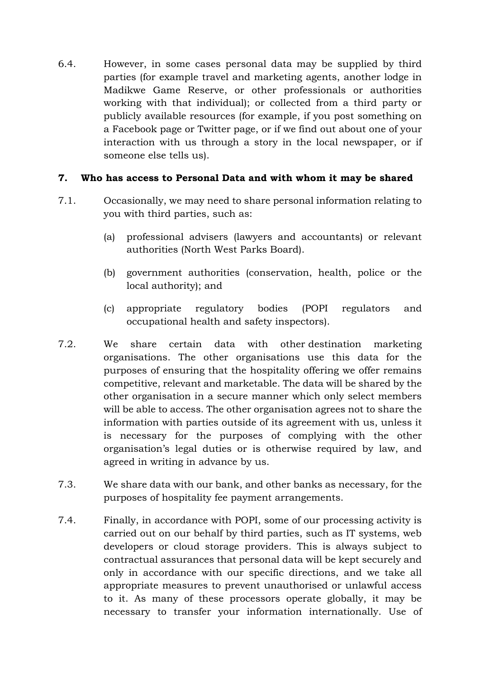6.4. However, in some cases personal data may be supplied by third parties (for example travel and marketing agents, another lodge in Madikwe Game Reserve, or other professionals or authorities working with that individual); or collected from a third party or publicly available resources (for example, if you post something on a Facebook page or Twitter page, or if we find out about one of your interaction with us through a story in the local newspaper, or if someone else tells us).

## **7. Who has access to Personal Data and with whom it may be shared**

- 7.1. Occasionally, we may need to share personal information relating to you with third parties, such as:
	- (a) professional advisers (lawyers and accountants) or relevant authorities (North West Parks Board).
	- (b) government authorities (conservation, health, police or the local authority); and
	- (c) appropriate regulatory bodies (POPI regulators and occupational health and safety inspectors).
- 7.2. We share certain data with other destination marketing organisations. The other organisations use this data for the purposes of ensuring that the hospitality offering we offer remains competitive, relevant and marketable. The data will be shared by the other organisation in a secure manner which only select members will be able to access. The other organisation agrees not to share the information with parties outside of its agreement with us, unless it is necessary for the purposes of complying with the other organisation's legal duties or is otherwise required by law, and agreed in writing in advance by us.
- 7.3. We share data with our bank, and other banks as necessary, for the purposes of hospitality fee payment arrangements.
- 7.4. Finally, in accordance with POPI, some of our processing activity is carried out on our behalf by third parties, such as IT systems, web developers or cloud storage providers. This is always subject to contractual assurances that personal data will be kept securely and only in accordance with our specific directions, and we take all appropriate measures to prevent unauthorised or unlawful access to it. As many of these processors operate globally, it may be necessary to transfer your information internationally. Use of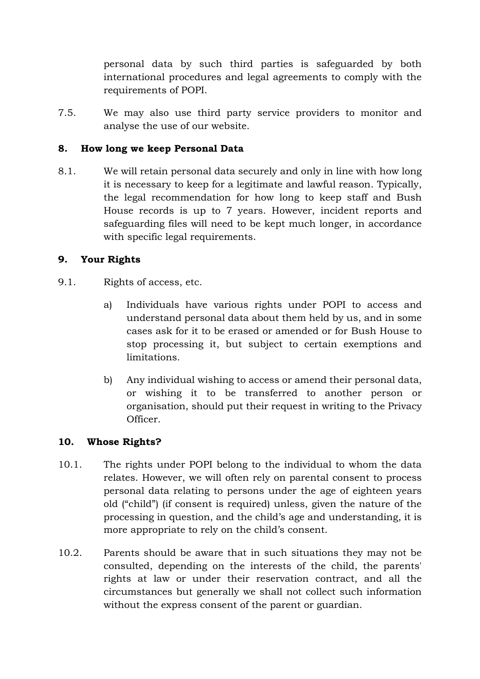personal data by such third parties is safeguarded by both international procedures and legal agreements to comply with the requirements of POPI.

7.5. We may also use third party service providers to monitor and analyse the use of our website.

## **8. How long we keep Personal Data**

8.1. We will retain personal data securely and only in line with how long it is necessary to keep for a legitimate and lawful reason. Typically, the legal recommendation for how long to keep staff and Bush House records is up to 7 years. However, incident reports and safeguarding files will need to be kept much longer, in accordance with specific legal requirements.

## **9. Your Rights**

- 9.1. Rights of access, etc.
	- a) Individuals have various rights under POPI to access and understand personal data about them held by us, and in some cases ask for it to be erased or amended or for Bush House to stop processing it, but subject to certain exemptions and limitations.
	- b) Any individual wishing to access or amend their personal data, or wishing it to be transferred to another person or organisation, should put their request in writing to the Privacy Officer.

#### **10. Whose Rights?**

- 10.1. The rights under POPI belong to the individual to whom the data relates. However, we will often rely on parental consent to process personal data relating to persons under the age of eighteen years old ("child") (if consent is required) unless, given the nature of the processing in question, and the child's age and understanding, it is more appropriate to rely on the child's consent.
- 10.2. Parents should be aware that in such situations they may not be consulted, depending on the interests of the child, the parents' rights at law or under their reservation contract, and all the circumstances but generally we shall not collect such information without the express consent of the parent or guardian.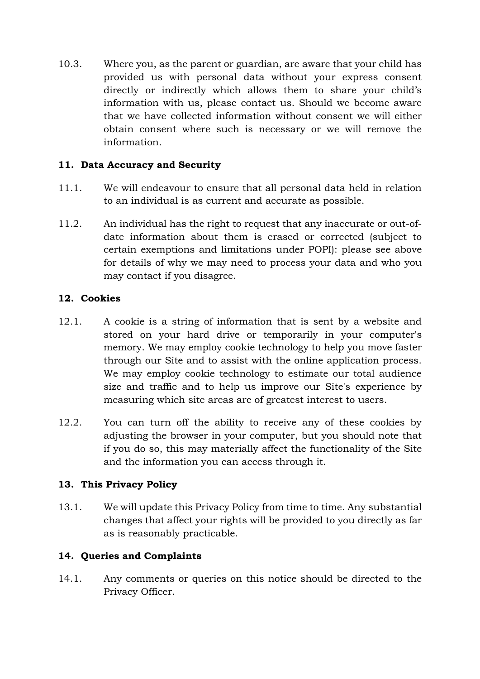10.3. Where you, as the parent or guardian, are aware that your child has provided us with personal data without your express consent directly or indirectly which allows them to share your child's information with us, please contact us. Should we become aware that we have collected information without consent we will either obtain consent where such is necessary or we will remove the information.

## **11. Data Accuracy and Security**

- 11.1. We will endeavour to ensure that all personal data held in relation to an individual is as current and accurate as possible.
- 11.2. An individual has the right to request that any inaccurate or out-ofdate information about them is erased or corrected (subject to certain exemptions and limitations under POPI): please see above for details of why we may need to process your data and who you may contact if you disagree.

## **12. Cookies**

- 12.1. A cookie is a string of information that is sent by a website and stored on your hard drive or temporarily in your computer's memory. We may employ cookie technology to help you move faster through our Site and to assist with the online application process. We may employ cookie technology to estimate our total audience size and traffic and to help us improve our Site's experience by measuring which site areas are of greatest interest to users.
- 12.2. You can turn off the ability to receive any of these cookies by adjusting the browser in your computer, but you should note that if you do so, this may materially affect the functionality of the Site and the information you can access through it.

# **13. This Privacy Policy**

13.1. We will update this Privacy Policy from time to time. Any substantial changes that affect your rights will be provided to you directly as far as is reasonably practicable.

# **14. Queries and Complaints**

14.1. Any comments or queries on this notice should be directed to the Privacy Officer.